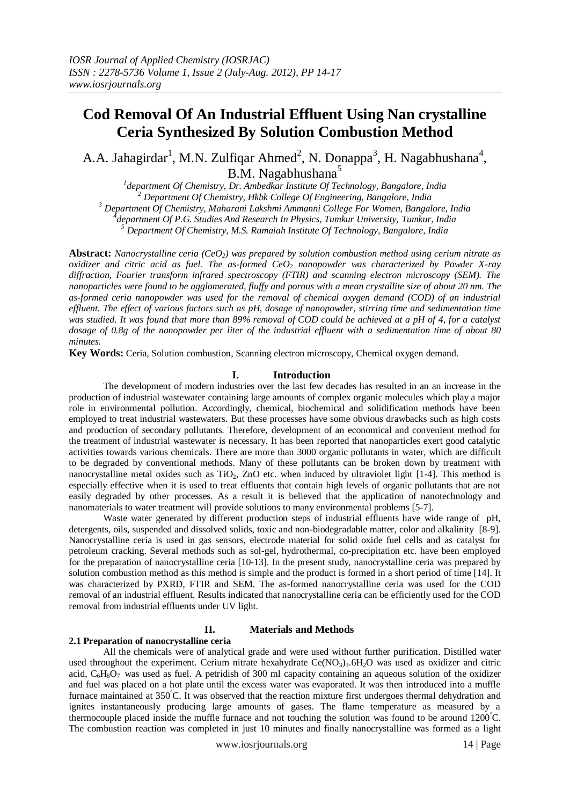# **Cod Removal Of An Industrial Effluent Using Nan crystalline Ceria Synthesized By Solution Combustion Method**

A.A. Jahagirdar<sup>1</sup>, M.N. Zulfiqar Ahmed<sup>2</sup>, N. Donappa<sup>3</sup>, H. Nagabhushana<sup>4</sup>, B.M. Nagabhushana<sup>5</sup>

 *department Of Chemistry, Dr. Ambedkar Institute Of Technology, Bangalore, India Department Of Chemistry, Hkbk College Of Engineering, Bangalore, India Department Of Chemistry, Maharani Lakshmi Ammanni College For Women, Bangalore, India department Of P.G. Studies And Research In Physics, Tumkur University, Tumkur, India*

*<sup>5</sup> Department Of Chemistry, M.S. Ramaiah Institute Of Technology, Bangalore, India*

**Abstract:** *Nanocrystalline ceria (CeO2) was prepared by solution combustion method using cerium nitrate as oxidizer and citric acid as fuel. The as-formed CeO<sup>2</sup> nanopowder was characterized by Powder X-ray diffraction, Fourier transform infrared spectroscopy (FTIR) and scanning electron microscopy (SEM). The nanoparticles were found to be agglomerated, fluffy and porous with a mean crystallite size of about 20 nm. The as-formed ceria nanopowder was used for the removal of chemical oxygen demand (COD) of an industrial effluent. The effect of various factors such as pH, dosage of nanopowder, stirring time and sedimentation time was studied. It was found that more than 89% removal of COD could be achieved at a pH of 4, for a catalyst dosage of 0.8g of the nanopowder per liter of the industrial effluent with a sedimentation time of about 80 minutes.*

**Key Words:** Ceria, Solution combustion, Scanning electron microscopy, Chemical oxygen demand.

#### **I. Introduction**

The development of modern industries over the last few decades has resulted in an an increase in the production of industrial wastewater containing large amounts of complex organic molecules which play a major role in environmental pollution. Accordingly, chemical, biochemical and solidification methods have been employed to treat industrial wastewaters. But these processes have some obvious drawbacks such as high costs and production of secondary pollutants. Therefore, development of an economical and convenient method for the treatment of industrial wastewater is necessary. It has been reported that nanoparticles exert good catalytic activities towards various chemicals. There are more than 3000 organic pollutants in water, which are difficult to be degraded by conventional methods. Many of these pollutants can be broken down by treatment with nanocrystalline metal oxides such as  $TiO<sub>2</sub>$ ,  $ZnO$  etc. when induced by ultraviolet light [1-4]. This method is especially effective when it is used to treat effluents that contain high levels of organic pollutants that are not easily degraded by other processes. As a result it is believed that the application of nanotechnology and nanomaterials to water treatment will provide solutions to many environmental problems [5-7].

Waste water generated by different production steps of industrial effluents have wide range of pH, detergents, oils, suspended and dissolved solids, toxic and non-biodegradable matter, color and alkalinity [8-9]. Nanocrystalline ceria is used in gas sensors, electrode material for solid oxide fuel cells and as catalyst for petroleum cracking. Several methods such as sol-gel, hydrothermal, co-precipitation etc. have been employed for the preparation of nanocrystalline ceria [10-13]. In the present study, nanocrystalline ceria was prepared by solution combustion method as this method is simple and the product is formed in a short period of time [14]. It was characterized by PXRD, FTIR and SEM. The as-formed nanocrystalline ceria was used for the COD removal of an industrial effluent. Results indicated that nanocrystalline ceria can be efficiently used for the COD removal from industrial effluents under UV light.

# **II. Materials and Methods**

#### **2.1 Preparation of nanocrystalline ceria**

All the chemicals were of analytical grade and were used without further purification. Distilled water used throughout the experiment. Cerium nitrate hexahydrate  $Ce(NO<sub>3</sub>)<sub>3</sub>$ .6H<sub>2</sub>O was used as oxidizer and citric acid,  $C_6H_8O_7$  was used as fuel. A petridish of 300 ml capacity containing an aqueous solution of the oxidizer and fuel was placed on a hot plate until the excess water was evaporated. It was then introduced into a muffle furnace maintained at 350°C. It was observed that the reaction mixture first undergoes thermal dehydration and ignites instantaneously producing large amounts of gases. The flame temperature as measured by a thermocouple placed inside the muffle furnace and not touching the solution was found to be around 1200°C. The combustion reaction was completed in just 10 minutes and finally nanocrystalline was formed as a light

www.iosrjournals.org 14 | Page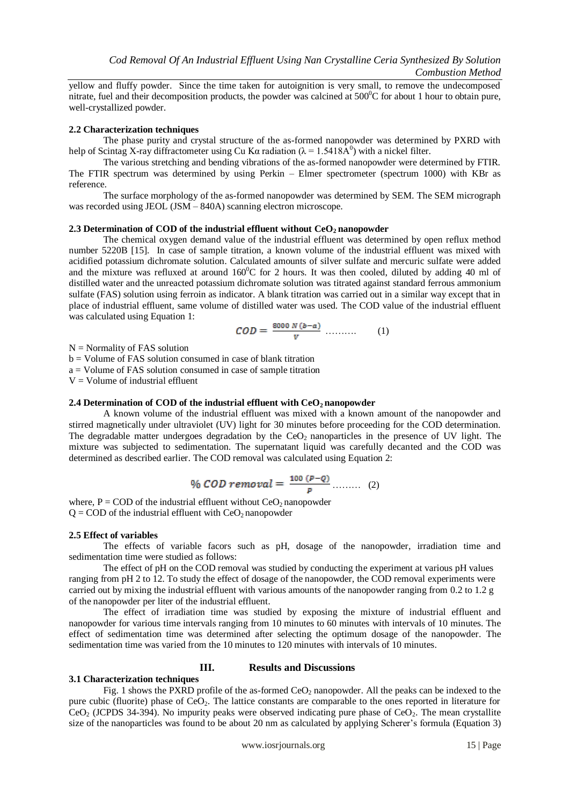yellow and fluffy powder. Since the time taken for autoignition is very small, to remove the undecomposed nitrate, fuel and their decomposition products, the powder was calcined at  $500^{\circ}$ C for about 1 hour to obtain pure, well-crystallized powder.

### **2.2 Characterization techniques**

The phase purity and crystal structure of the as-formed nanopowder was determined by PXRD with help of Scintag X-ray diffractometer using Cu K $\alpha$  radiation ( $\lambda = 1.5418$ A<sup>0</sup>) with a nickel filter.

The various stretching and bending vibrations of the as-formed nanopowder were determined by FTIR. The FTIR spectrum was determined by using Perkin – Elmer spectrometer (spectrum 1000) with KBr as reference.

The surface morphology of the as-formed nanopowder was determined by SEM. The SEM micrograph was recorded using JEOL (JSM – 840A) scanning electron microscope.

### **2.3 Determination of COD of the industrial effluent without CeO<sup>2</sup> nanopowder**

The chemical oxygen demand value of the industrial effluent was determined by open reflux method number 5220B [15]. In case of sample titration, a known volume of the industrial effluent was mixed with acidified potassium dichromate solution. Calculated amounts of silver sulfate and mercuric sulfate were added and the mixture was refluxed at around  $160^{\circ}$ C for 2 hours. It was then cooled, diluted by adding 40 ml of distilled water and the unreacted potassium dichromate solution was titrated against standard ferrous ammonium sulfate (FAS) solution using ferroin as indicator. A blank titration was carried out in a similar way except that in place of industrial effluent, same volume of distilled water was used. The COD value of the industrial effluent was calculated using Equation 1:

$$
COD = \frac{8000 N (b-a)}{v} \dots \dots \dots \tag{1}
$$

 $N =$  Normality of FAS solution

b = Volume of FAS solution consumed in case of blank titration a = Volume of FAS solution consumed in case of sample titration  $V =$  Volume of industrial effluent

# **2.4 Determination of COD of the industrial effluent with CeO2 nanopowder**

A known volume of the industrial effluent was mixed with a known amount of the nanopowder and stirred magnetically under ultraviolet (UV) light for 30 minutes before proceeding for the COD determination. The degradable matter undergoes degradation by the  $CeO<sub>2</sub>$  nanoparticles in the presence of UV light. The mixture was subjected to sedimentation. The supernatant liquid was carefully decanted and the COD was determined as described earlier. The COD removal was calculated using Equation 2:

% *COD removal* = 
$$
\frac{100 (P - Q)}{p}
$$
........ (2)

where,  $P = COD$  of the industrial effluent without  $CeO<sub>2</sub>$  nanopowder  $Q = COD$  of the industrial effluent with  $CeO<sub>2</sub>$  nanopowder

#### **2.5 Effect of variables**

The effects of variable facors such as pH, dosage of the nanopowder, irradiation time and sedimentation time were studied as follows:

The effect of pH on the COD removal was studied by conducting the experiment at various pH values ranging from pH 2 to 12. To study the effect of dosage of the nanopowder, the COD removal experiments were carried out by mixing the industrial effluent with various amounts of the nanopowder ranging from 0.2 to 1.2 g of the nanopowder per liter of the industrial effluent.

The effect of irradiation time was studied by exposing the mixture of industrial effluent and nanopowder for various time intervals ranging from 10 minutes to 60 minutes with intervals of 10 minutes. The effect of sedimentation time was determined after selecting the optimum dosage of the nanopowder. The sedimentation time was varied from the 10 minutes to 120 minutes with intervals of 10 minutes.

#### **III. Results and Discussions**

# **3.1 Characterization techniques**

Fig. 1 shows the PXRD profile of the as-formed  $CeO<sub>2</sub>$  nanopowder. All the peaks can be indexed to the pure cubic (fluorite) phase of  $CeO<sub>2</sub>$ . The lattice constants are comparable to the ones reported in literature for  $CeO<sub>2</sub>$  (JCPDS 34-394). No impurity peaks were observed indicating pure phase of  $CeO<sub>2</sub>$ . The mean crystallite size of the nanoparticles was found to be about 20 nm as calculated by applying Scherer's formula (Equation 3)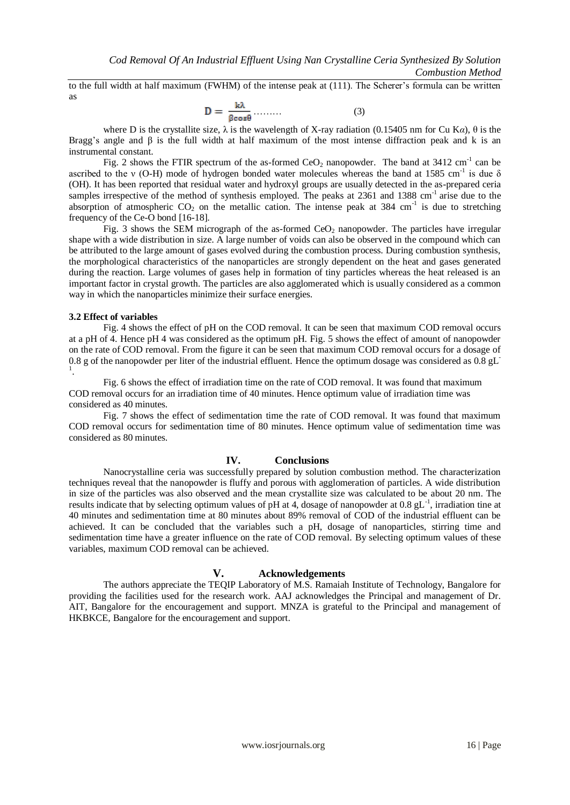to the full width at half maximum (FWHM) of the intense peak at (111). The Scherer's formula can be written as

$$
D = \frac{k\lambda}{\beta \cos \theta} \dots \dots \tag{3}
$$

where D is the crystallite size,  $\lambda$  is the wavelength of X-ray radiation (0.15405 nm for Cu Ka),  $\theta$  is the Bragg's angle and  $\beta$  is the full width at half maximum of the most intense diffraction peak and k is an instrumental constant.

Fig. 2 shows the FTIR spectrum of the as-formed  $CeO<sub>2</sub>$  nanopowder. The band at 3412 cm<sup>-1</sup> can be ascribed to the v (O-H) mode of hydrogen bonded water molecules whereas the band at 1585 cm<sup>-1</sup> is due  $\delta$ (OH). It has been reported that residual water and hydroxyl groups are usually detected in the as-prepared ceria samples irrespective of the method of synthesis employed. The peaks at  $2361$  and  $1388 \text{ cm}^{-1}$  arise due to the absorption of atmospheric  $CO_2$  on the metallic cation. The intense peak at 384 cm<sup>-1</sup> is due to stretching frequency of the Ce-O bond [16-18].

Fig. 3 shows the SEM micrograph of the as-formed CeO<sub>2</sub> nanopowder. The particles have irregular shape with a wide distribution in size. A large number of voids can also be observed in the compound which can be attributed to the large amount of gases evolved during the combustion process. During combustion synthesis, the morphological characteristics of the nanoparticles are strongly dependent on the heat and gases generated during the reaction. Large volumes of gases help in formation of tiny particles whereas the heat released is an important factor in crystal growth. The particles are also agglomerated which is usually considered as a common way in which the nanoparticles minimize their surface energies.

### **3.2 Effect of variables**

Fig. 4 shows the effect of pH on the COD removal. It can be seen that maximum COD removal occurs at a pH of 4. Hence pH 4 was considered as the optimum pH. Fig. 5 shows the effect of amount of nanopowder on the rate of COD removal. From the figure it can be seen that maximum COD removal occurs for a dosage of 0.8 g of the nanopowder per liter of the industrial effluent. Hence the optimum dosage was considered as  $0.8$  gL<sup>-</sup> 1 .

Fig. 6 shows the effect of irradiation time on the rate of COD removal. It was found that maximum COD removal occurs for an irradiation time of 40 minutes. Hence optimum value of irradiation time was considered as 40 minutes.

Fig. 7 shows the effect of sedimentation time the rate of COD removal. It was found that maximum COD removal occurs for sedimentation time of 80 minutes. Hence optimum value of sedimentation time was considered as 80 minutes.

# **IV. Conclusions**

Nanocrystalline ceria was successfully prepared by solution combustion method. The characterization techniques reveal that the nanopowder is fluffy and porous with agglomeration of particles. A wide distribution in size of the particles was also observed and the mean crystallite size was calculated to be about 20 nm. The results indicate that by selecting optimum values of pH at 4, dosage of nanopowder at  $0.8 \text{ gL}^{-1}$ , irradiation tine at 40 minutes and sedimentation time at 80 minutes about 89% removal of COD of the industrial effluent can be achieved. It can be concluded that the variables such a pH, dosage of nanoparticles, stirring time and sedimentation time have a greater influence on the rate of COD removal. By selecting optimum values of these variables, maximum COD removal can be achieved.

## **V. Acknowledgements**

The authors appreciate the TEQIP Laboratory of M.S. Ramaiah Institute of Technology, Bangalore for providing the facilities used for the research work. AAJ acknowledges the Principal and management of Dr. AIT, Bangalore for the encouragement and support. MNZA is grateful to the Principal and management of HKBKCE, Bangalore for the encouragement and support.